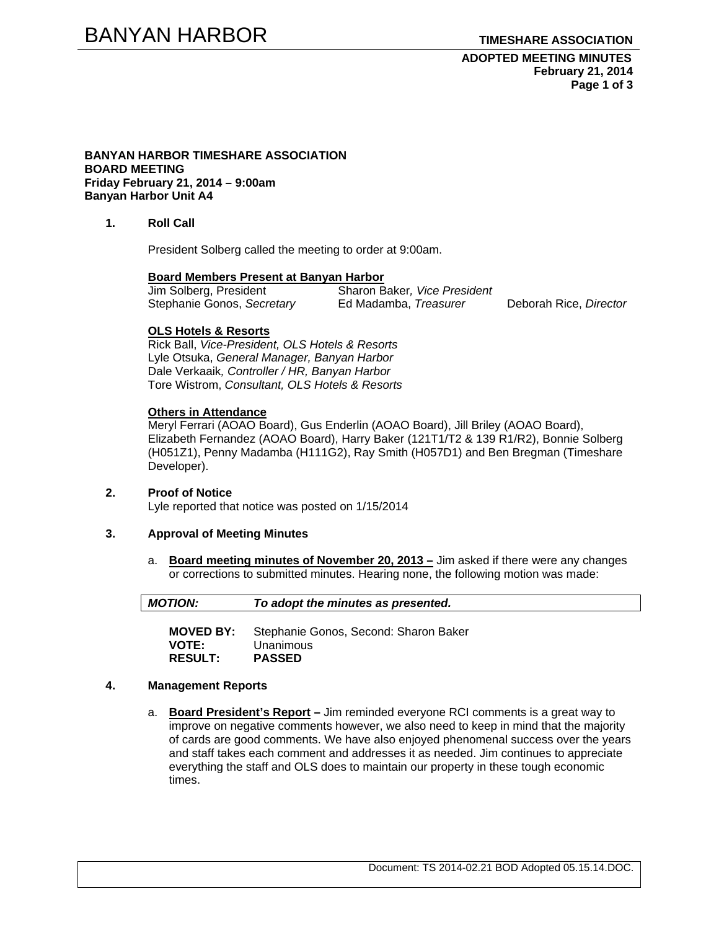**ADOPTED MEETING MINUTES February 21, 2014 Page 1 of 3** 

#### **BANYAN HARBOR TIMESHARE ASSOCIATION BOARD MEETING Friday February 21, 2014 – 9:00am Banyan Harbor Unit A4**

**1. Roll Call** 

President Solberg called the meeting to order at 9:00am.

# **Board Members Present at Banyan Harbor**

**Sharon Baker, Vice President** Stephanie Gonos, *Secretary* Ed Madamba, *Treasurer* Deborah Rice, *Director* 

#### **OLS Hotels & Resorts**

Rick Ball, *Vice-President, OLS Hotels & Resorts* Lyle Otsuka, *General Manager, Banyan Harbor*  Dale Verkaaik*, Controller / HR, Banyan Harbor*  Tore Wistrom, *Consultant, OLS Hotels & Resorts* 

#### **Others in Attendance**

Meryl Ferrari (AOAO Board), Gus Enderlin (AOAO Board), Jill Briley (AOAO Board), Elizabeth Fernandez (AOAO Board), Harry Baker (121T1/T2 & 139 R1/R2), Bonnie Solberg (H051Z1), Penny Madamba (H111G2), Ray Smith (H057D1) and Ben Bregman (Timeshare Developer).

# **2. Proof of Notice**

Lyle reported that notice was posted on 1/15/2014

#### **3. Approval of Meeting Minutes**

a. **Board meeting minutes of November 20, 2013 –** Jim asked if there were any changes or corrections to submitted minutes. Hearing none, the following motion was made:

| <b>MOTION:</b> | To adopt the minutes as presented. |
|----------------|------------------------------------|
|                |                                    |

**MOVED BY:** Stephanie Gonos, Second: Sharon Baker **VOTE:** Unanimous **RESULT: PASSED** 

#### **4. Management Reports**

a. **Board President's Report –** Jim reminded everyone RCI comments is a great way to improve on negative comments however, we also need to keep in mind that the majority of cards are good comments. We have also enjoyed phenomenal success over the years and staff takes each comment and addresses it as needed. Jim continues to appreciate everything the staff and OLS does to maintain our property in these tough economic times.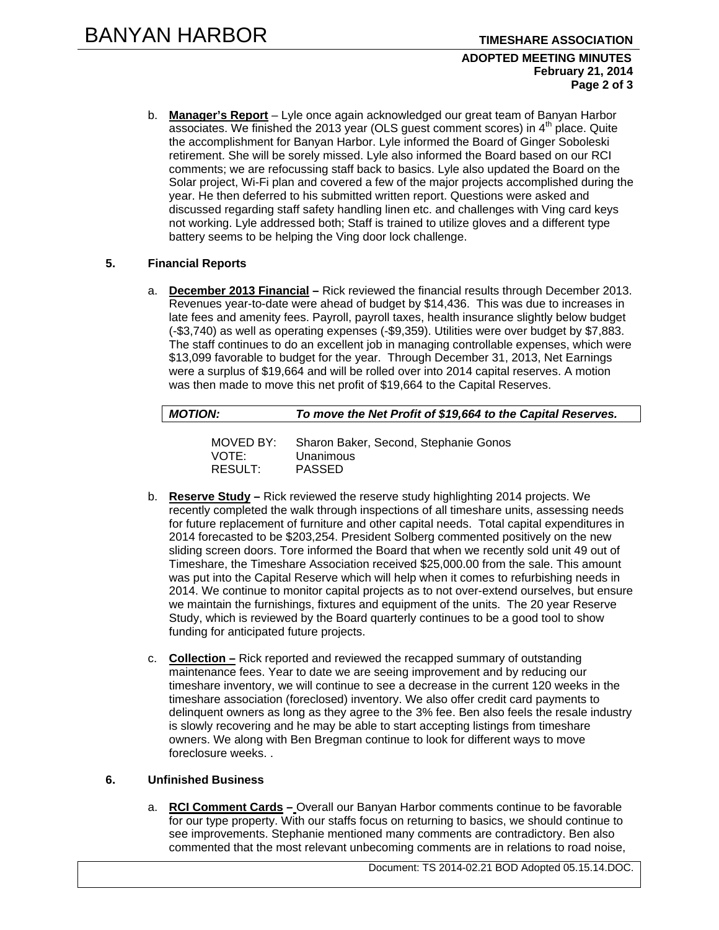#### **ADOPTED MEETING MINUTES February 21, 2014 Page 2 of 3**

b. **Manager's Report** – Lyle once again acknowledged our great team of Banyan Harbor associates. We finished the 2013 year (OLS guest comment scores) in  $4<sup>th</sup>$  place. Quite the accomplishment for Banyan Harbor. Lyle informed the Board of Ginger Soboleski retirement. She will be sorely missed. Lyle also informed the Board based on our RCI comments; we are refocussing staff back to basics. Lyle also updated the Board on the Solar project, Wi-Fi plan and covered a few of the major projects accomplished during the year. He then deferred to his submitted written report. Questions were asked and discussed regarding staff safety handling linen etc. and challenges with Ving card keys not working. Lyle addressed both; Staff is trained to utilize gloves and a different type battery seems to be helping the Ving door lock challenge.

## **5. Financial Reports**

a. **December 2013 Financial –** Rick reviewed the financial results through December 2013. Revenues year-to-date were ahead of budget by \$14,436. This was due to increases in late fees and amenity fees. Payroll, payroll taxes, health insurance slightly below budget (-\$3,740) as well as operating expenses (-\$9,359). Utilities were over budget by \$7,883. The staff continues to do an excellent job in managing controllable expenses, which were \$13,099 favorable to budget for the year. Through December 31, 2013, Net Earnings were a surplus of \$19,664 and will be rolled over into 2014 capital reserves. A motion was then made to move this net profit of \$19,664 to the Capital Reserves.

| <b>MOTION:</b> | To move the Net Profit of \$19,664 to the Capital Reserves. |
|----------------|-------------------------------------------------------------|
| -----------    |                                                             |

| MOVED BY: | Sharon Baker, Second, Stephanie Gonos |
|-----------|---------------------------------------|
| VOTE:     | Unanimous                             |
| RESULT:   | <b>PASSED</b>                         |

- b. **Reserve Study –** Rick reviewed the reserve study highlighting 2014 projects. We recently completed the walk through inspections of all timeshare units, assessing needs for future replacement of furniture and other capital needs. Total capital expenditures in 2014 forecasted to be \$203,254. President Solberg commented positively on the new sliding screen doors. Tore informed the Board that when we recently sold unit 49 out of Timeshare, the Timeshare Association received \$25,000.00 from the sale. This amount was put into the Capital Reserve which will help when it comes to refurbishing needs in 2014. We continue to monitor capital projects as to not over-extend ourselves, but ensure we maintain the furnishings, fixtures and equipment of the units. The 20 year Reserve Study, which is reviewed by the Board quarterly continues to be a good tool to show funding for anticipated future projects.
- c. **Collection –** Rick reported and reviewed the recapped summary of outstanding maintenance fees. Year to date we are seeing improvement and by reducing our timeshare inventory, we will continue to see a decrease in the current 120 weeks in the timeshare association (foreclosed) inventory. We also offer credit card payments to delinquent owners as long as they agree to the 3% fee. Ben also feels the resale industry is slowly recovering and he may be able to start accepting listings from timeshare owners. We along with Ben Bregman continue to look for different ways to move foreclosure weeks. .

## **6. Unfinished Business**

a. **RCI Comment Cards –** Overall our Banyan Harbor comments continue to be favorable for our type property. With our staffs focus on returning to basics, we should continue to see improvements. Stephanie mentioned many comments are contradictory. Ben also commented that the most relevant unbecoming comments are in relations to road noise,

Document: TS 2014-02.21 BOD Adopted 05.15.14.DOC.